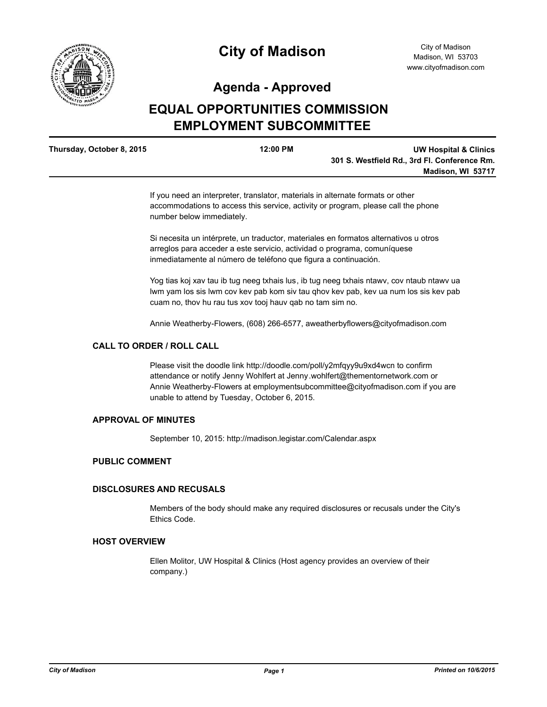

# **City of Madison**

## **Agenda - Approved**

## **EQUAL OPPORTUNITIES COMMISSION EMPLOYMENT SUBCOMMITTEE**

| Thursday, October 8, 2015 | $12:00$ PM | <b>UW Hospital &amp; Clinics</b>             |
|---------------------------|------------|----------------------------------------------|
|                           |            | 301 S. Westfield Rd., 3rd Fl. Conference Rm. |
|                           |            | Madison, WI 53717                            |
|                           |            |                                              |

If you need an interpreter, translator, materials in alternate formats or other accommodations to access this service, activity or program, please call the phone number below immediately.

Si necesita un intérprete, un traductor, materiales en formatos alternativos u otros arreglos para acceder a este servicio, actividad o programa, comuníquese inmediatamente al número de teléfono que figura a continuación.

Yog tias koj xav tau ib tug neeg txhais lus, ib tug neeg txhais ntawv, cov ntaub ntawv ua lwm yam los sis lwm cov kev pab kom siv tau qhov kev pab, kev ua num los sis kev pab cuam no, thov hu rau tus xov tooj hauv qab no tam sim no.

Annie Weatherby-Flowers, (608) 266-6577, aweatherbyflowers@cityofmadison.com

#### **CALL TO ORDER / ROLL CALL**

Please visit the doodle link http://doodle.com/poll/y2mfqyy9u9xd4wcn to confirm attendance or notify Jenny Wohlfert at Jenny.wohlfert@thementornetwork.com or Annie Weatherby-Flowers at employmentsubcommittee@cityofmadison.com if you are unable to attend by Tuesday, October 6, 2015.

### **APPROVAL OF MINUTES**

September 10, 2015: http://madison.legistar.com/Calendar.aspx

## **PUBLIC COMMENT**

#### **DISCLOSURES AND RECUSALS**

Members of the body should make any required disclosures or recusals under the City's Ethics Code.

#### **HOST OVERVIEW**

Ellen Molitor, UW Hospital & Clinics (Host agency provides an overview of their company.)